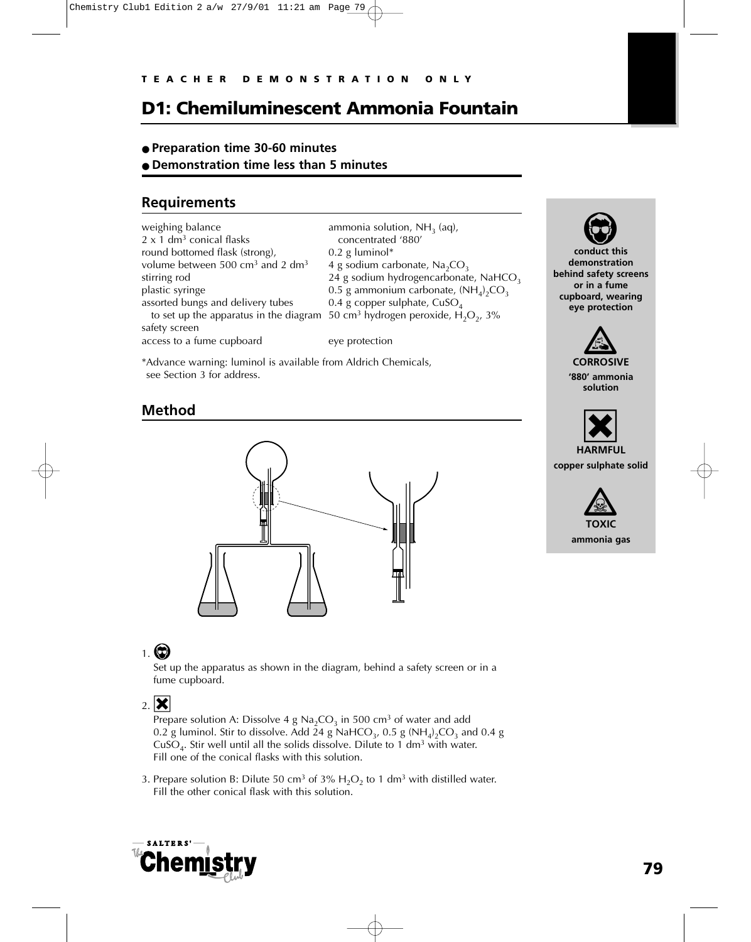# **D1: Chemiluminescent Ammonia Fountain**

- **Preparation time 30-60 minutes**
- **Demonstration time less than 5 minutes**

#### **Requirements**

| weighing balance                                         | ammonia solution, $NH3$ (aq),                                                              |
|----------------------------------------------------------|--------------------------------------------------------------------------------------------|
| $2 \times 1$ dm <sup>3</sup> conical flasks              | concentrated '880'                                                                         |
| round bottomed flask (strong),                           | $0.2$ g luminol*                                                                           |
| volume between 500 cm <sup>3</sup> and 2 dm <sup>3</sup> | 4 g sodium carbonate, $Na2CO3$                                                             |
| stirring rod                                             | 24 g sodium hydrogencarbonate, NaHCO <sub>3</sub>                                          |
| plastic syringe                                          | 0.5 g ammonium carbonate, $(NH_4)_2CO_3$                                                   |
| assorted bungs and delivery tubes                        | 0.4 g copper sulphate, $CuSO4$                                                             |
|                                                          | to set up the apparatus in the diagram 50 cm <sup>3</sup> hydrogen peroxide, $H_2O_2$ , 3% |
| safety screen                                            |                                                                                            |
| access to a fume cupboard                                | eye protection                                                                             |
|                                                          |                                                                                            |

\*Advance warning: luminol is available from Aldrich Chemicals, see Section 3 for address.

#### **Method**





**conduct this demonstration behind safety screens or in a fume cupboard, wearing eye protection**



**CORROSIVE '880' ammonia solution** 



**copper sulphate solid** 



## $_1$ .  $\bigcirc$

Set up the apparatus as shown in the diagram, behind a safety screen or in a fume cupboard.

## 2.  $|\mathbf{X}|$

Prepare solution A: Dissolve 4 g  $Na<sub>2</sub>CO<sub>3</sub>$  in 500 cm<sup>3</sup> of water and add 0.2 g luminol. Stir to dissolve. Add 24 g NaHCO $_3$ , 0.5 g (NH $_4$ )<sub>2</sub>CO $_3$  and 0.4 g CuSO<sub>4</sub>. Stir well until all the solids dissolve. Dilute to 1 dm<sup>3</sup> with water. Fill one of the conical flasks with this solution.

3. Prepare solution B: Dilute 50 cm<sup>3</sup> of 3% H<sub>2</sub>O<sub>2</sub> to 1 dm<sup>3</sup> with distilled water. Fill the other conical flask with this solution.